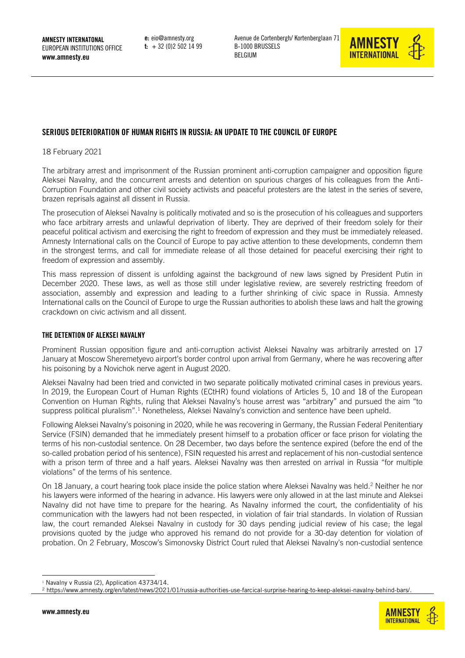e: eio@amnesty.org  $t: +32(0)25021499$ 



# SERIOUS DETERIORATION OF HUMAN RIGHTS IN RUSSIA: AN UPDATE TO THE COUNCIL OF EUROPE

18 February 2021

The arbitrary arrest and imprisonment of the Russian prominent anti-corruption campaigner and opposition figure Aleksei Navalny, and the concurrent arrests and detention on spurious charges of his colleagues from the Anti-Corruption Foundation and other civil society activists and peaceful protesters are the latest in the series of severe, brazen reprisals against all dissent in Russia.

The prosecution of Aleksei Navalny is politically motivated and so is the prosecution of his colleagues and supporters who face arbitrary arrests and unlawful deprivation of liberty. They are deprived of their freedom solely for their peaceful political activism and exercising the right to freedom of expression and they must be immediately released. Amnesty International calls on the Council of Europe to pay active attention to these developments, condemn them in the strongest terms, and call for immediate release of all those detained for peaceful exercising their right to freedom of expression and assembly.

This mass repression of dissent is unfolding against the background of new laws signed by President Putin in December 2020. These laws, as well as those still under legislative review, are severely restricting freedom of association, assembly and expression and leading to a further shrinking of civic space in Russia. Amnesty International calls on the Council of Europe to urge the Russian authorities to abolish these laws and halt the growing crackdown on civic activism and all dissent.

#### THE DETENTION OF ALEKSEI NAVALNY

Prominent Russian opposition figure and anti-corruption activist Aleksei Navalny was arbitrarily arrested on 17 January at Moscow Sheremetyevo airport's border control upon arrival from Germany, where he was recovering after his poisoning by a Novichok nerve agent in August 2020.

Aleksei Navalny had been tried and convicted in two separate politically motivated criminal cases in previous years. In 2019, the European Court of Human Rights (ECtHR) found violations of Articles 5, 10 and 18 of the European Convention on Human Rights, ruling that Aleksei Navalny's house arrest was "arbitrary" and pursued the aim "to suppress political pluralism".<sup>1</sup> Nonetheless, Aleksei Navalny's conviction and sentence have been upheld.

Following Aleksei Navalny's poisoning in 2020, while he was recovering in Germany, the Russian Federal Penitentiary Service (FSIN) demanded that he immediately present himself to a probation officer or face prison for violating the terms of his non-custodial sentence. On 28 December, two days before the sentence expired (before the end of the so-called probation period of his sentence), FSIN requested his arrest and replacement of his non-custodial sentence with a prison term of three and a half years. Aleksei Navalny was then arrested on arrival in Russia "for multiple violations" of the terms of his sentence.

On 18 January, a court hearing took place inside the police station where Aleksei Navalny was held.<sup>2</sup> Neither he nor his lawyers were informed of the hearing in advance. His lawyers were only allowed in at the last minute and Aleksei Navalny did not have time to prepare for the hearing. As Navalny informed the court, the confidentiality of his communication with the lawyers had not been respected, in violation of fair trial standards. In violation of Russian law, the court remanded Aleksei Navalny in custody for 30 days pending judicial review of his case; the legal provisions quoted by the judge who approved his remand do not provide for a 30-day detention for violation of probation. On 2 February, Moscow's Simonovsky District Court ruled that Aleksei Navalny's non-custodial sentence



<sup>&</sup>lt;sup>1</sup> Navalny v Russia (2), Application 43734/14.

<sup>2</sup> [https://www.amnesty.org/en/latest/news/2021/01/russia-authorities-use-farcical-surprise-hearing-to-keep-aleksei-navalny-behind-bars/.](https://www.amnesty.org/en/latest/news/2021/01/russia-authorities-use-farcical-surprise-hearing-to-keep-aleksei-navalny-behind-bars/)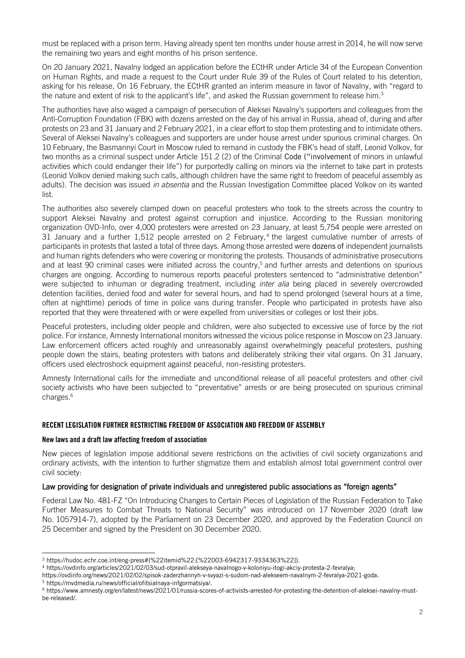must be replaced with a prison term. Having already spent ten months under house arrest in 2014, he will now serve the remaining two years and eight months of his prison sentence.

On 20 January 2021, Navalny lodged an application before the ECtHR under Article 34 of the European Convention on Human Rights, and made a request to the Court under Rule 39 of the Rules of Court related to his detention, asking for his release. On 16 February, the ECtHR granted an interim measure in favor of Navalny, with "regard to the nature and extent of risk to the applicant's life", and asked the Russian government to release him.<sup>3</sup>

The authorities have also waged a campaign of persecution of Aleksei Navalny's supporters and colleagues from the Anti-Corruption Foundation (FBK) with dozens arrested on the day of his arrival in Russia, ahead of, during and after protests on 23 and 31 January and 2 February 2021, in a clear effort to stop them protesting and to intimidate others. Several of Aleksei Navalny's colleagues and supporters are under house arrest under spurious criminal charges. On 10 February, the Basmannyi Court in Moscow ruled to remand in custody the FBK's head of staff, Leonid Volkov, for two months as a criminal suspect under Article 151.2 (2) of the Criminal Code ("involvement of minors in unlawful activities which could endanger their life") for purportedly calling on minors via the internet to take part in protests (Leonid Volkov denied making such calls, although children have the same right to freedom of peaceful assembly as adults). The decision was issued *in absentia* and the Russian Investigation Committee placed Volkov on its wanted list.

The authorities also severely clamped down on peaceful protesters who took to the streets across the country to support Aleksei Navalny and protest against corruption and injustice. According to the Russian monitoring organization OVD-Info, over 4,000 protesters were arrested on 23 January, at least 5,754 people were arrested on 31 January and a further 1,512 people arrested on 2 February, 4 the largest cumulative number of arrests of participants in protests that lasted a total of three days. Among those arrested were dozens of independent journalists and human rights defenders who were covering or monitoring the protests. Thousands of administrative prosecutions and at least 90 criminal cases were initiated across the country, <sup>5</sup> and further arrests and detentions on spurious charges are ongoing. According to numerous reports peaceful protesters sentenced to "administrative detention" were subjected to inhuman or degrading treatment, including *inter alia* being placed in severely overcrowded detention facilities, denied food and water for several hours, and had to spend prolonged (several hours at a time, often at nighttime) periods of time in police vans during transfer. People who participated in protests have also reported that they were threatened with or were expelled from universities or colleges or lost their jobs.

Peaceful protesters, including older people and children, were also subjected to excessive use of force by the riot police. For instance, Amnesty International monitors witnessed the vicious police response in Moscow on 23 January. Law enforcement officers acted roughly and unreasonably against overwhelmingly peaceful protesters, pushing people down the stairs, beating protesters with batons and deliberately striking their vital organs. On 31 January, officers used electroshock equipment against peaceful, non-resisting protesters.

Amnesty International calls for the immediate and unconditional release of all peaceful protesters and other civil society activists who have been subjected to "preventative" arrests or are being prosecuted on spurious criminal charges. 6

## RECENT LEGISLATION FURTHER RESTRICTING FREEDOM OF ASSOCIATION AND FREEDOM OF ASSEMBLY

### New laws and a draft law affecting freedom of association

New pieces of legislation impose additional severe restrictions on the activities of civil society organizations and ordinary activists, with the intention to further stigmatize them and establish almost total government control over civil society:

#### Law providing for designation of private individuals and unregistered public associations as "foreign agents"

Federal Law No. 481-FZ "On Introducing Changes to Certain Pieces of Legislation of the Russian Federation to Take Further Measures to Combat Threats to National Security" was introduced on 17 November 2020 (draft law No. [1057914-7\)](https://sozd.duma.gov.ru/bill/1057914-7), adopted by the Parliament on 23 December 2020, and approved by the Federation Council on 25 December and signed by the President on 30 December 2020.

<sup>5</sup> [https://mvdmedia.ru/news/official/ofitsialnaya-infgormatsiya/.](https://mvdmedia.ru/news/official/ofitsialnaya-infgormatsiya/)

<sup>3</sup> [https://hudoc.echr.coe.int/eng-press#{%22itemid%22:\[%22003-6942317-9334363%22\]}.](https://hudoc.echr.coe.int/eng-press#{%22itemid%22:[%22003-6942317-9334363%22]})

<sup>4</sup> [https://ovdinfo.org/articles/2021/02/03/sud-otpravil-alekseya-navalnogo-v-koloniyu-itogi-akciy-protesta-2-fevralya;](https://ovdinfo.org/articles/2021/02/03/sud-otpravil-alekseya-navalnogo-v-koloniyu-itogi-akciy-protesta-2-fevralya)

[https://ovdinfo.org/news/2021/02/02/spisok-zaderzhannyh-v-svyazi-s-sudom-nad-alekseem-navalnym-2-fevralya-2021-goda.](https://ovdinfo.org/news/2021/02/02/spisok-zaderzhannyh-v-svyazi-s-sudom-nad-alekseem-navalnym-2-fevralya-2021-goda) 

<sup>6</sup> [https://www.amnesty.org/en/latest/news/2021/01/russia-scores-of-activists-arrested-for-protesting-the-detention-of-aleksei-navalny-must](https://www.amnesty.org/en/latest/news/2021/01/russia-scores-of-activists-arrested-for-protesting-the-detention-of-aleksei-navalny-must-be-released/)[be-released/.](https://www.amnesty.org/en/latest/news/2021/01/russia-scores-of-activists-arrested-for-protesting-the-detention-of-aleksei-navalny-must-be-released/)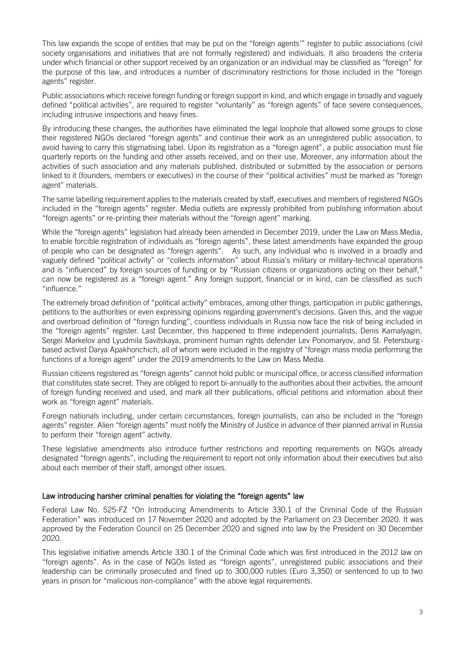This law expands the scope of entities that may be put on the "foreign agents'" register to public associations (civil society organisations and initiatives that are not formally registered) and individuals. It also broadens the criteria under which financial or other support received by an organization or an individual may be classified as "foreign" for the purpose of this law, and introduces a number of discriminatory restrictions for those included in the "foreign agents" register.

Public associations which receive foreign funding or foreign support in kind, and which engage in broadly and vaguely defined "political activities", are required to register "voluntarily" as "foreign agents" of face severe consequences, including intrusive inspections and heavy fines.

By introducing these changes, the authorities have eliminated the legal loophole that allowed some groups to close their registered NGOs declared "foreign agents" and continue their work as an unregistered public association, to avoid having to carry this stigmatising label. Upon its registration as a "foreign agent", a public association must file quarterly reports on the funding and other assets received, and on their use. Moreover, any information about the activities of such association and any materials published, distributed or submitted by the association or persons linked to it (founders, members or executives) in the course of their "political activities" must be marked as "foreign agent" materials.

The same labelling requirement applies to the materials created by staff, executives and members of registered NGOs included in the "foreign agents" register. Media outlets are expressly prohibited from publishing information about "foreign agents" or re-printing their materials without the "foreign agent" marking.

While the "foreign agents" legislation had already been amended in December 2019, under the Law on Mass Media, to enable forcible registration of individuals as "foreign agents", these latest amendments have expanded the group of people who can be designated as "foreign agents". As such, any individual who is involved in a broadly and vaguely defined "political activity" or "collects information" about Russia's military or military-technical operations and is "influenced" by foreign sources of funding or by "Russian citizens or organizations acting on their behalf," can now be registered as a "foreign agent." Any foreign support, financial or in kind, can be classified as such "influence."

The extremely broad definition of "political activity" embraces, among other things, participation in public gatherings, petitions to the authorities or even expressing opinions regarding government's decisions. Given this, and the vague and overbroad definition of "foreign funding", countless individuals in Russia now face the risk of being included in the "foreign agents" register. Last December, this happened to three independent journalists, Denis Kamalyagin, Sergei Markelov and Lyudmila Savitskaya, prominent human rights defender Lev Ponomaryov, and St. Petersburgbased activist Darya Apakhonchich, all of whom were included in the registry of "foreign mass media performing the functions of a foreign agent" under the 2019 amendments to the Law on Mass Media.

Russian citizens registered as "foreign agents" cannot hold public or municipal office, or access classified information that constitutes state secret. They are obliged to report bi-annually to the authorities about their activities, the amount of foreign funding received and used, and mark all their publications, official petitions and information about their work as "foreign agent" materials.

Foreign nationals including, under certain circumstances, foreign journalists, can also be included in the "foreign agents" register. Alien "foreign agents" must notify the Ministry of Justice in advance of their planned arrival in Russia to perform their "foreign agent" activity.

These legislative amendments also introduce further restrictions and reporting requirements on NGOs already designated "foreign agents", including the requirement to report not only information about their executives but also about each member of their staff, amongst other issues.

## Law introducing harsher criminal penalties for violating the "foreign agents" law

Federal Law No. 525-[FZ "On Introducing Amendments to Article 330.1 of the Criminal Code of the Russian](https://sozd.duma.gov.ru/bill/1073604-7%22%20/h)  [Federation](https://sozd.duma.gov.ru/bill/1073604-7%22%20/h)" was introduced on 17 November 2020 and adopted by the Parliament on 23 December 2020. It was approved by the Federation Council on 25 December 2020 and signed into law by the President on 30 December 2020.

This legislative initiative amends Article 330.1 of the Criminal Code which was first introduced in the 2012 law on "foreign agents". As in the case of NGOs listed as "foreign agents", unregistered public associations and their leadership can be criminally prosecuted and fined up to 300,000 rubles (Euro 3,350) or sentenced to up to two years in prison for "malicious non-compliance" with the above legal requirements.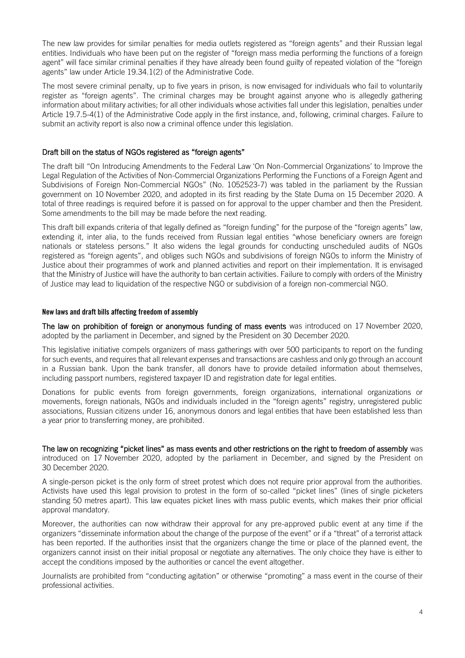The new law provides for similar penalties for media outlets registered as "foreign agents" and their Russian legal entities. Individuals who have been put on the register of "foreign mass media performing the functions of a foreign agent" will face similar criminal penalties if they have already been found guilty of repeated violation of the "foreign agents" law under Article 19.34.1(2) of the Administrative Code.

The most severe criminal penalty, up to five years in prison, is now envisaged for individuals who fail to voluntarily register as "foreign agents". The criminal charges may be brought against anyone who is allegedly gathering information about military activities; for all other individuals whose activities fall under this legislation, penalties under Article 19.7.5-4(1) of the Administrative Code apply in the first instance, and, following, criminal charges. Failure to submit an activity report is also now a criminal offence under this legislation.

## Draft bill on the status of NGOs registered as "foreign agents"

The draft bill "On Introducing Amendments to the Federal Law 'On Non-Commercial Organizations' to Improve the Legal Regulation of the Activities of Non-Commercial Organizations Performing the Functions of a Foreign Agent and Subdivisions of Foreign Non-Commercial NGOs" [\(No. 1052523-7\)](https://sozd.duma.gov.ru/bill/1052523-7) was tabled in the parliament by the Russian government on 10 November 2020, and adopted in its first reading by the State Duma on 15 December 2020. A total of three readings is required before it is passed on for approval to the upper chamber and then the President. Some amendments to the bill may be made before the next reading.

This draft bill expands criteria of that legally defined as "foreign funding" for the purpose of the "foreign agents" law, extending it, inter alia, to the funds received from Russian legal entities "whose beneficiary owners are foreign nationals or stateless persons." It also widens the legal grounds for conducting unscheduled audits of NGOs registered as "foreign agents", and obliges such NGOs and subdivisions of foreign NGOs to inform the Ministry of Justice about their programmes of work and planned activities and report on their implementation. It is envisaged that the Ministry of Justice will have the authority to ban certain activities. Failure to comply with orders of the Ministry of Justice may lead to liquidation of the respective NGO or subdivision of a foreign non-commercial NGO.

## New laws and draft bills affecting freedom of assembly

The law on prohibition of foreign or anonymous funding of mass events was introduced on 17 November 2020, adopted by the parliament in December, and signed by the President on 30 December 2020.

This legislative initiative compels organizers of mass gatherings with over 500 participants to report on the funding for such events, and requires that all relevant expenses and transactions are cashless and only go through an account in a Russian bank. Upon the bank transfer, all donors have to provide detailed information about themselves, including passport numbers, registered taxpayer ID and registration date for legal entities.

Donations for public events from foreign governments, foreign organizations, international organizations or movements, foreign nationals, NGOs and individuals included in the "foreign agents" registry, unregistered public associations, Russian citizens under 16, anonymous donors and legal entities that have been established less than a year prior to transferring money, are prohibited.

The law on recognizing "picket lines" as mass events and other restrictions on the right to freedom of assembly was introduced on 17 November 2020, adopted by the parliament in December, and signed by the President on 30 December 2020.

A single-person picket is the only form of street protest which does not require prior approval from the authorities. Activists have used this legal provision to protest in the form of so-called "picket lines" (lines of single picketers standing 50 metres apart). This law equates picket lines with mass public events, which makes their prior official approval mandatory.

Moreover, the authorities can now withdraw their approval for any pre-approved public event at any time if the organizers "disseminate information about the change of the purpose of the event" or if a "threat" of a terrorist attack has been reported. If the authorities insist that the organizers change the time or place of the planned event, the organizers cannot insist on their initial proposal or negotiate any alternatives. The only choice they have is either to accept the conditions imposed by the authorities or cancel the event altogether.

Journalists are prohibited from "conducting agitation" or otherwise "promoting" a mass event in the course of their professional activities.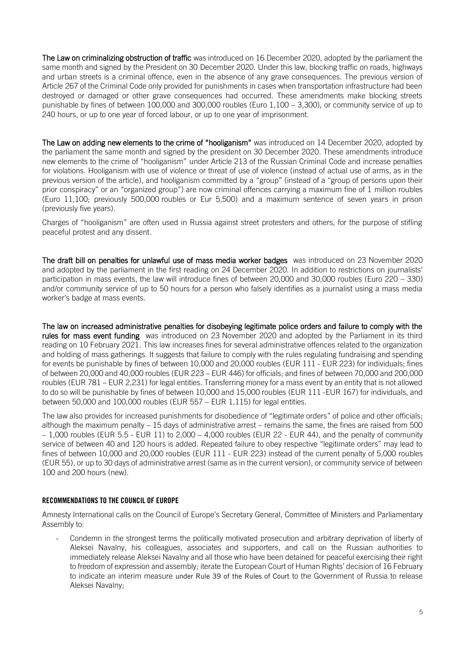The Law on criminalizing obstruction of traffic was introduced on 16 December 2020, adopted by the parliament the same month and signed by the President on 30 December 2020. Under this law, blocking traffic on roads, highways and urban streets is a criminal offence, even in the absence of any grave consequences. The previous version of Article 267 of the Criminal Code only provided for punishments in cases when transportation infrastructure had been destroyed or damaged or other grave consequences had occurred. These amendments make blocking streets punishable by fines of between 100,000 and 300,000 roubles (Euro 1,100 – 3,300), or community service of up to 240 hours, or up to one year of forced labour, or up to one year of imprisonment.

The Law on adding new elements to the crime of "hooliganism" was introduced on 14 December 2020, adopted by the parliament the same month and signed by the president on 30 December 2020. These amendments introduce new elements to the crime of "hooliganism" under Article 213 of the Russian Criminal Code and increase penalties for violations. Hooliganism with use of violence or threat of use of violence (instead of actual use of arms, as in the previous version of the article), and hooliganism committed by a "group" (instead of a "group of persons upon their prior conspiracy" or an "organized group") are now criminal offences carrying a maximum fine of 1 million roubles (Euro 11,100; previously 500,000 roubles or Eur 5,500) and a maximum sentence of seven years in prison (previously five years).

Charges of "hooliganism" are often used in Russia against street protesters and others, for the purpose of stifling peaceful protest and any dissent.

The [draft bill on penalties for unlawful use of mass media worker badges](https://sozd.duma.gov.ru/bill/1060657-7) was introduced on 23 November 2020 and adopted by the parliament in the first reading on 24 December 2020. In addition to restrictions on journalists' participation in mass events, the law will introduce fines of between 20,000 and 30,000 roubles (Euro 220 – 330) and/or community service of up to 50 hours for a person who falsely identifies as a journalist using a mass media worker's badge at mass events.

The [law on increased administrative penalties for disobeying legitimate police orders and failure to comply with the](https://sozd.duma.gov.ru/bill/1060689-7)  [rules for mass event funding](https://sozd.duma.gov.ru/bill/1060689-7) was introduced on 23 November 2020 and adopted by the Parliament in its third reading on 10 February 2021. This law increases fines for several administrative offences related to the organization and holding of mass gatherings. It suggests that failure to comply with the rules regulating fundraising and spending for events be punishable by fines of between 10,000 and 20,000 roubles (EUR 111 - EUR 223) for individuals; fines of between 20,000 and 40,000 roubles (EUR 223 – EUR 446) for officials; and fines of between 70,000 and 200,000 roubles (EUR 781 – EUR 2,231) for legal entities. Transferring money for a mass event by an entity that is not allowed to do so will be punishable by fines of between 10,000 and 15,000 roubles (EUR 111 -EUR 167) for individuals, and between 50,000 and 100,000 roubles (EUR 557 – EUR 1,115) for legal entities.

The law also provides for increased punishments for disobedience of "legitimate orders" of police and other officials; although the maximum penalty – 15 days of administrative arrest – remains the same, the fines are raised from 500 – 1,000 roubles (EUR 5.5 - EUR 11) to 2,000 – 4,000 roubles (EUR 22 - EUR 44), and the penalty of community service of between 40 and 120 hours is added. Repeated failure to obey respective "legitimate orders" may lead to fines of between 10,000 and 20,000 roubles (EUR 111 - EUR 223) instead of the current penalty of 5,000 roubles (EUR 55), or up to 30 days of administrative arrest (same as in the current version), or community service of between 100 and 200 hours (new).

## RECOMMENDATIONS TO THE COUNCIL OF EUROPE

Amnesty International calls on the Council of Europe's Secretary General, Committee of Ministers and Parliamentary Assembly to:

- Condemn in the strongest terms the politically motivated prosecution and arbitrary deprivation of liberty of Aleksei Navalny, his colleagues, associates and supporters, and call on the Russian authorities to immediately release Aleksei Navalny and all those who have been detained for peaceful exercising their right to freedom of expression and assembly; iterate the European Court of Human Rights' decision of 16 February to indicate an interim measure under Rule 39 of the Rules of Court to the Government of Russia to release Aleksei Navalny;